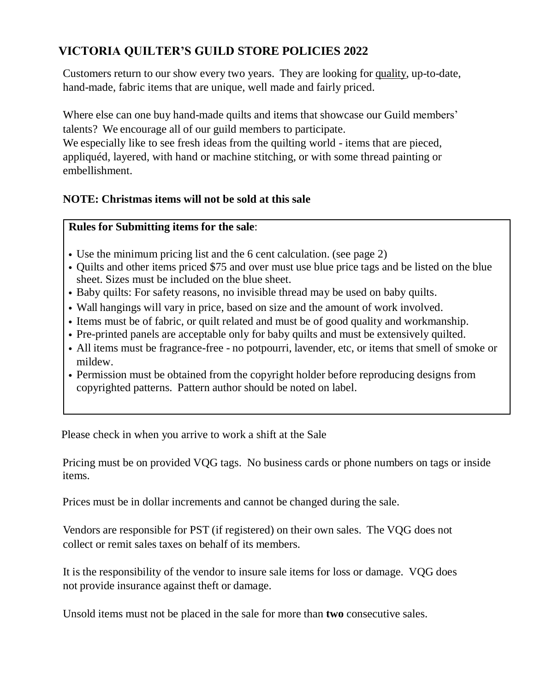# **VICTORIA QUILTER'S GUILD STORE POLICIES 2022**

Customers return to our show every two years. They are looking for quality, up-to-date, hand-made, fabric items that are unique, well made and fairly priced.

Where else can one buy hand-made quilts and items that showcase our Guild members' talents? We encourage all of our guild members to participate.

We especially like to see fresh ideas from the quilting world - items that are pieced, appliquéd, layered, with hand or machine stitching, or with some thread painting or embellishment.

### **NOTE: Christmas items will not be sold at this sale**

#### **Rules for Submitting items for the sale**:

- Use the minimum pricing list and the 6 cent calculation. (see page 2)
- Quilts and other items priced \$75 and over must use blue price tags and be listed on the blue sheet. Sizes must be included on the blue sheet.
- Baby quilts: For safety reasons, no invisible thread may be used on baby quilts.
- Wall hangings will vary in price, based on size and the amount of work involved.
- Items must be of fabric, or quilt related and must be of good quality and workmanship.
- Pre-printed panels are acceptable only for baby quilts and must be extensively quilted.
- All items must be fragrance-free no potpourri, lavender, etc, or items that smell of smoke or mildew.
- Permission must be obtained from the copyright holder before reproducing designs from copyrighted patterns. Pattern author should be noted on label.

Please check in when you arrive to work a shift at the Sale

Pricing must be on provided VQG tags. No business cards or phone numbers on tags or inside items.

Prices must be in dollar increments and cannot be changed during the sale.

Vendors are responsible for PST (if registered) on their own sales. The VQG does not collect or remit sales taxes on behalf of its members.

It is the responsibility of the vendor to insure sale items for loss or damage. VQG does not provide insurance against theft or damage.

Unsold items must not be placed in the sale for more than **two** consecutive sales.